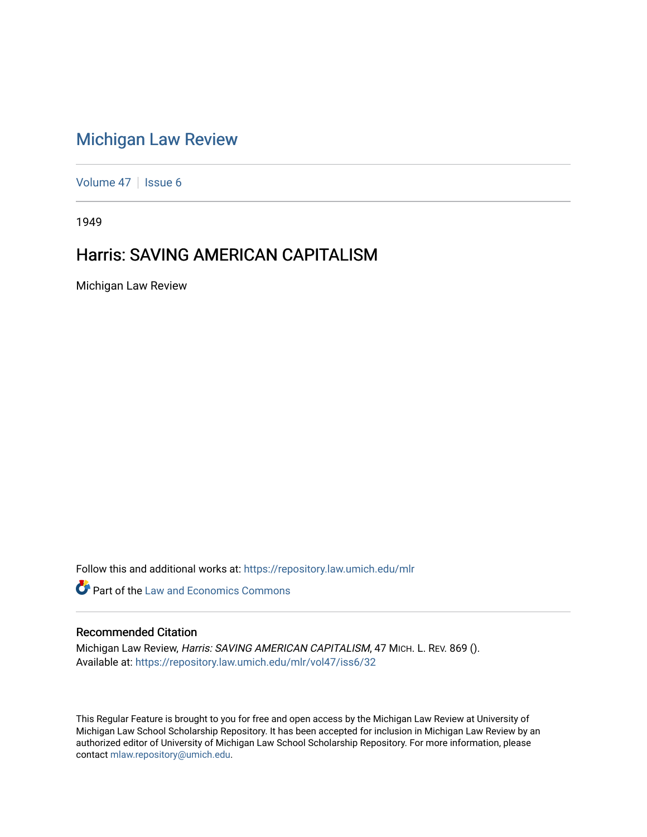## [Michigan Law Review](https://repository.law.umich.edu/mlr)

[Volume 47](https://repository.law.umich.edu/mlr/vol47) | [Issue 6](https://repository.law.umich.edu/mlr/vol47/iss6)

1949

## Harris: SAVING AMERICAN CAPITALISM

Michigan Law Review

Follow this and additional works at: [https://repository.law.umich.edu/mlr](https://repository.law.umich.edu/mlr?utm_source=repository.law.umich.edu%2Fmlr%2Fvol47%2Fiss6%2F32&utm_medium=PDF&utm_campaign=PDFCoverPages) 

**C** Part of the Law and Economics Commons

## Recommended Citation

Michigan Law Review, Harris: SAVING AMERICAN CAPITALISM, 47 MICH. L. REV. 869 (). Available at: [https://repository.law.umich.edu/mlr/vol47/iss6/32](https://repository.law.umich.edu/mlr/vol47/iss6/32?utm_source=repository.law.umich.edu%2Fmlr%2Fvol47%2Fiss6%2F32&utm_medium=PDF&utm_campaign=PDFCoverPages) 

This Regular Feature is brought to you for free and open access by the Michigan Law Review at University of Michigan Law School Scholarship Repository. It has been accepted for inclusion in Michigan Law Review by an authorized editor of University of Michigan Law School Scholarship Repository. For more information, please contact [mlaw.repository@umich.edu](mailto:mlaw.repository@umich.edu).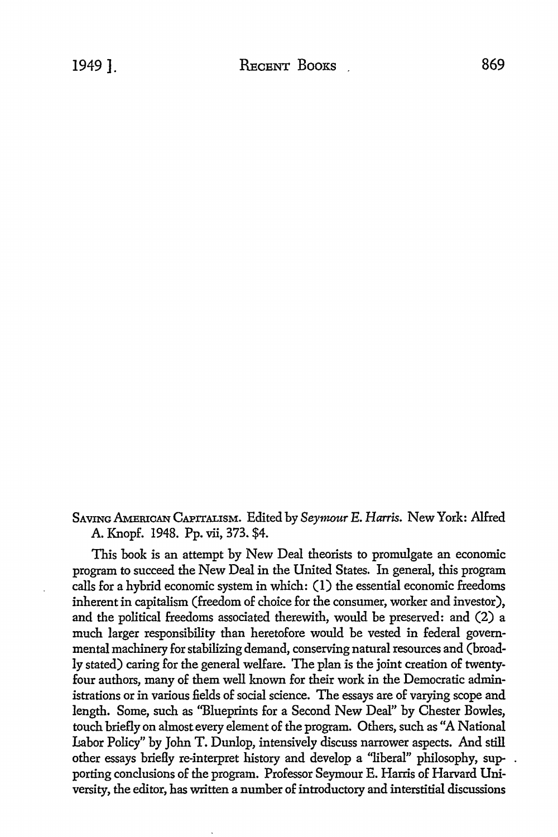## SAVING AMERICAN CAPITALISM. Edited by *Seymour* E. *Harris.* New York: Alfred A. Knopf. 1948. Pp. vii, 373. \$4.

This book is an attempt by New Deal theorists to promulgate an economic program to succeed the New Deal in the United States. In general, this program calls for a hybrid economic system in which: (1) the essential economic freedoms inherent in capitalism (freedom of choice for the consumer, worker and investor), and the political freedoms associated therewith, would be preserved: and (2) a much larger responsibility than heretofore would be vested in federal governmental machinery for stabilizing demand, conserving natural resources and (broadly stated) caring for the general welfare. The plan is the joint creation of twentyfour authors, many of them well known for their work in the Democratic administrations or in various fields of social science. The essays are of varying scope and length. Some, such as ''Blueprints for a Second New Deal" by Chester Bowles, touch briefly on almost every element of the program. Others, such as "A National Labor Policy" by John T. Dunlop, intensively discuss narrower aspects. And still other essays briefly re-interpret history and develop a "liberal" philosophy, supporting conclusions of the program. Professor Seymour E. Harris of Harvard University, the editor, has written a number of introductory and interstitial discussions